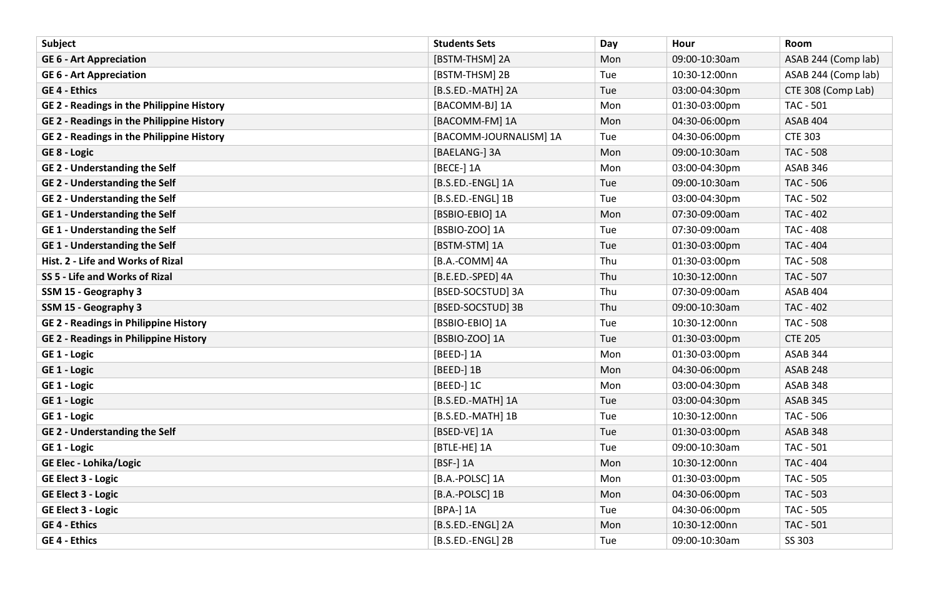| Subject                                          | <b>Students Sets</b>   | Day | Hour          | Room                |
|--------------------------------------------------|------------------------|-----|---------------|---------------------|
| <b>GE 6 - Art Appreciation</b>                   | [BSTM-THSM] 2A         | Mon | 09:00-10:30am | ASAB 244 (Comp lab) |
| <b>GE 6 - Art Appreciation</b>                   | [BSTM-THSM] 2B         | Tue | 10:30-12:00nn | ASAB 244 (Comp lab) |
| <b>GE 4 - Ethics</b>                             | [B.S.ED.-MATH] 2A      | Tue | 03:00-04:30pm | CTE 308 (Comp Lab)  |
| GE 2 - Readings in the Philippine History        | [BACOMM-BJ] 1A         | Mon | 01:30-03:00pm | <b>TAC - 501</b>    |
| <b>GE 2 - Readings in the Philippine History</b> | [BACOMM-FM] 1A         | Mon | 04:30-06:00pm | ASAB 404            |
| <b>GE 2 - Readings in the Philippine History</b> | [BACOMM-JOURNALISM] 1A | Tue | 04:30-06:00pm | <b>CTE 303</b>      |
| GE 8 - Logic                                     | [BAELANG-] 3A          | Mon | 09:00-10:30am | <b>TAC - 508</b>    |
| <b>GE 2 - Understanding the Self</b>             | [BECE-] 1A             | Mon | 03:00-04:30pm | ASAB 346            |
| <b>GE 2 - Understanding the Self</b>             | [B.S.ED.-ENGL] 1A      | Tue | 09:00-10:30am | <b>TAC - 506</b>    |
| <b>GE 2 - Understanding the Self</b>             | [B.S.ED.-ENGL] 1B      | Tue | 03:00-04:30pm | <b>TAC - 502</b>    |
| <b>GE1 - Understanding the Self</b>              | [BSBIO-EBIO] 1A        | Mon | 07:30-09:00am | TAC - 402           |
| <b>GE1 - Understanding the Self</b>              | [BSBIO-ZOO] 1A         | Tue | 07:30-09:00am | <b>TAC - 408</b>    |
| <b>GE1 - Understanding the Self</b>              | [BSTM-STM] 1A          | Tue | 01:30-03:00pm | <b>TAC - 404</b>    |
| Hist. 2 - Life and Works of Rizal                | [B.A.-COMM] 4A         | Thu | 01:30-03:00pm | <b>TAC - 508</b>    |
| SS 5 - Life and Works of Rizal                   | [B.E.ED.-SPED] 4A      | Thu | 10:30-12:00nn | <b>TAC - 507</b>    |
| SSM 15 - Geography 3                             | [BSED-SOCSTUD] 3A      | Thu | 07:30-09:00am | ASAB 404            |
| SSM 15 - Geography 3                             | [BSED-SOCSTUD] 3B      | Thu | 09:00-10:30am | <b>TAC - 402</b>    |
| <b>GE 2 - Readings in Philippine History</b>     | [BSBIO-EBIO] 1A        | Tue | 10:30-12:00nn | <b>TAC - 508</b>    |
| <b>GE 2 - Readings in Philippine History</b>     | [BSBIO-ZOO] 1A         | Tue | 01:30-03:00pm | <b>CTE 205</b>      |
| GE 1 - Logic                                     | [BEED-] 1A             | Mon | 01:30-03:00pm | ASAB 344            |
| GE 1 - Logic                                     | [BEED-] 1B             | Mon | 04:30-06:00pm | <b>ASAB 248</b>     |
| GE 1 - Logic                                     | $[BEED-]$ 1C           | Mon | 03:00-04:30pm | ASAB 348            |
| GE 1 - Logic                                     | [B.S.ED.-MATH] 1A      | Tue | 03:00-04:30pm | <b>ASAB 345</b>     |
| GE 1 - Logic                                     | [B.S.ED.-MATH] 1B      | Tue | 10:30-12:00nn | TAC - 506           |
| <b>GE 2 - Understanding the Self</b>             | [BSED-VE] 1A           | Tue | 01:30-03:00pm | <b>ASAB 348</b>     |
| GE 1 - Logic                                     | [BTLE-HE] 1A           | Tue | 09:00-10:30am | <b>TAC - 501</b>    |
| <b>GE Elec - Lohika/Logic</b>                    | [BSF-] 1A              | Mon | 10:30-12:00nn | <b>TAC - 404</b>    |
| <b>GE Elect 3 - Logic</b>                        | [B.A.-POLSC] 1A        | Mon | 01:30-03:00pm | <b>TAC - 505</b>    |
| <b>GE Elect 3 - Logic</b>                        | [B.A.-POLSC] 1B        | Mon | 04:30-06:00pm | <b>TAC - 503</b>    |
| <b>GE Elect 3 - Logic</b>                        | [BPA-] 1A              | Tue | 04:30-06:00pm | TAC - 505           |
| <b>GE 4 - Ethics</b>                             | [B.S.ED.-ENGL] 2A      | Mon | 10:30-12:00nn | TAC - 501           |
| <b>GE 4 - Ethics</b>                             | [B.S.ED.-ENGL] 2B      | Tue | 09:00-10:30am | SS 303              |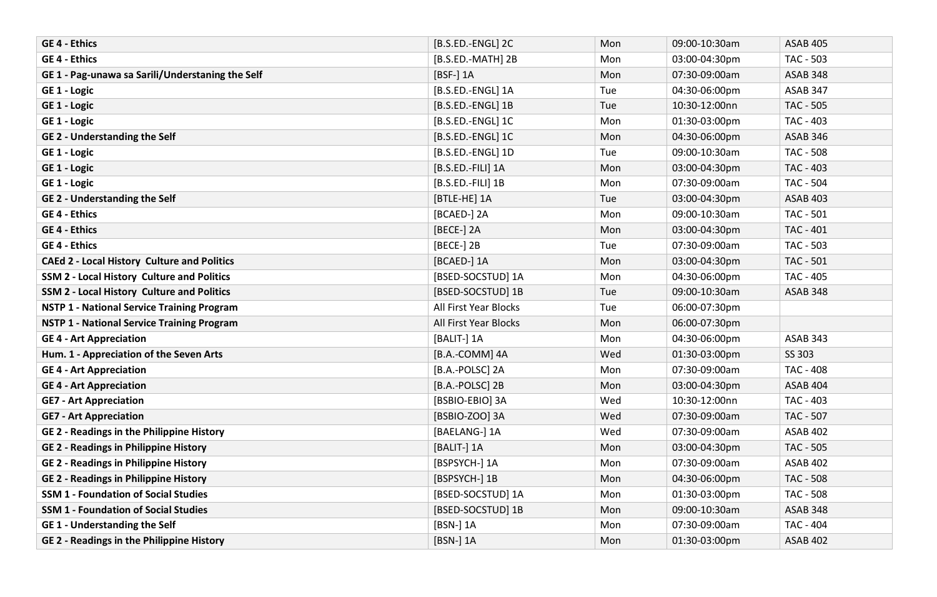| <b>GE 4 - Ethics</b>                               | [B.S.ED.-ENGL] 2C     | Mon | 09:00-10:30am | <b>ASAB 405</b>  |
|----------------------------------------------------|-----------------------|-----|---------------|------------------|
| <b>GE 4 - Ethics</b>                               | [B.S.ED.-MATH] 2B     | Mon | 03:00-04:30pm | <b>TAC - 503</b> |
| GE 1 - Pag-unawa sa Sarili/Understaning the Self   | [BSF-] 1A             | Mon | 07:30-09:00am | <b>ASAB 348</b>  |
| GE 1 - Logic                                       | [B.S.ED.-ENGL] 1A     | Tue | 04:30-06:00pm | <b>ASAB 347</b>  |
| GE 1 - Logic                                       | [B.S.ED.-ENGL] 1B     | Tue | 10:30-12:00nn | <b>TAC - 505</b> |
| GE 1 - Logic                                       | [B.S.ED.-ENGL] 1C     | Mon | 01:30-03:00pm | TAC - 403        |
| <b>GE 2 - Understanding the Self</b>               | [B.S.ED.-ENGL] 1C     | Mon | 04:30-06:00pm | <b>ASAB 346</b>  |
| GE 1 - Logic                                       | [B.S.ED.-ENGL] 1D     | Tue | 09:00-10:30am | <b>TAC - 508</b> |
| GE 1 - Logic                                       | [B.S.ED.-FILI] 1A     | Mon | 03:00-04:30pm | TAC - 403        |
| GE 1 - Logic                                       | [B.S.ED.-FILI] 1B     | Mon | 07:30-09:00am | <b>TAC - 504</b> |
| <b>GE 2 - Understanding the Self</b>               | [BTLE-HE] 1A          | Tue | 03:00-04:30pm | <b>ASAB 403</b>  |
| <b>GE 4 - Ethics</b>                               | [BCAED-] 2A           | Mon | 09:00-10:30am | <b>TAC - 501</b> |
| <b>GE 4 - Ethics</b>                               | [BECE-] 2A            | Mon | 03:00-04:30pm | <b>TAC - 401</b> |
| <b>GE 4 - Ethics</b>                               | [BECE-] 2B            | Tue | 07:30-09:00am | <b>TAC - 503</b> |
| <b>CAEd 2 - Local History Culture and Politics</b> | [BCAED-] 1A           | Mon | 03:00-04:30pm | <b>TAC - 501</b> |
| SSM 2 - Local History Culture and Politics         | [BSED-SOCSTUD] 1A     | Mon | 04:30-06:00pm | TAC - 405        |
| <b>SSM 2 - Local History Culture and Politics</b>  | [BSED-SOCSTUD] 1B     | Tue | 09:00-10:30am | <b>ASAB 348</b>  |
| <b>NSTP 1 - National Service Training Program</b>  | All First Year Blocks | Tue | 06:00-07:30pm |                  |
| <b>NSTP 1 - National Service Training Program</b>  | All First Year Blocks | Mon | 06:00-07:30pm |                  |
| <b>GE 4 - Art Appreciation</b>                     | [BALIT-] 1A           | Mon | 04:30-06:00pm | ASAB 343         |
| Hum. 1 - Appreciation of the Seven Arts            | [B.A.-COMM] 4A        | Wed | 01:30-03:00pm | SS 303           |
| <b>GE 4 - Art Appreciation</b>                     | [B.A.-POLSC] 2A       | Mon | 07:30-09:00am | <b>TAC - 408</b> |
| <b>GE 4 - Art Appreciation</b>                     | [B.A.-POLSC] 2B       | Mon | 03:00-04:30pm | <b>ASAB 404</b>  |
| <b>GE7 - Art Appreciation</b>                      | [BSBIO-EBIO] 3A       | Wed | 10:30-12:00nn | TAC - 403        |
| <b>GE7 - Art Appreciation</b>                      | [BSBIO-ZOO] 3A        | Wed | 07:30-09:00am | TAC - 507        |
| <b>GE 2 - Readings in the Philippine History</b>   | [BAELANG-] 1A         | Wed | 07:30-09:00am | <b>ASAB 402</b>  |
| <b>GE 2 - Readings in Philippine History</b>       | [BALIT-] 1A           | Mon | 03:00-04:30pm | TAC - 505        |
| <b>GE 2 - Readings in Philippine History</b>       | [BSPSYCH-] 1A         | Mon | 07:30-09:00am | <b>ASAB 402</b>  |
| <b>GE 2 - Readings in Philippine History</b>       | [BSPSYCH-] 1B         | Mon | 04:30-06:00pm | <b>TAC - 508</b> |
| <b>SSM 1 - Foundation of Social Studies</b>        | [BSED-SOCSTUD] 1A     | Mon | 01:30-03:00pm | <b>TAC - 508</b> |
| <b>SSM 1 - Foundation of Social Studies</b>        | [BSED-SOCSTUD] 1B     | Mon | 09:00-10:30am | <b>ASAB 348</b>  |
| <b>GE1 - Understanding the Self</b>                | [BSN-] 1A             | Mon | 07:30-09:00am | <b>TAC - 404</b> |
| <b>GE 2 - Readings in the Philippine History</b>   | [BSN-] 1A             | Mon | 01:30-03:00pm | <b>ASAB 402</b>  |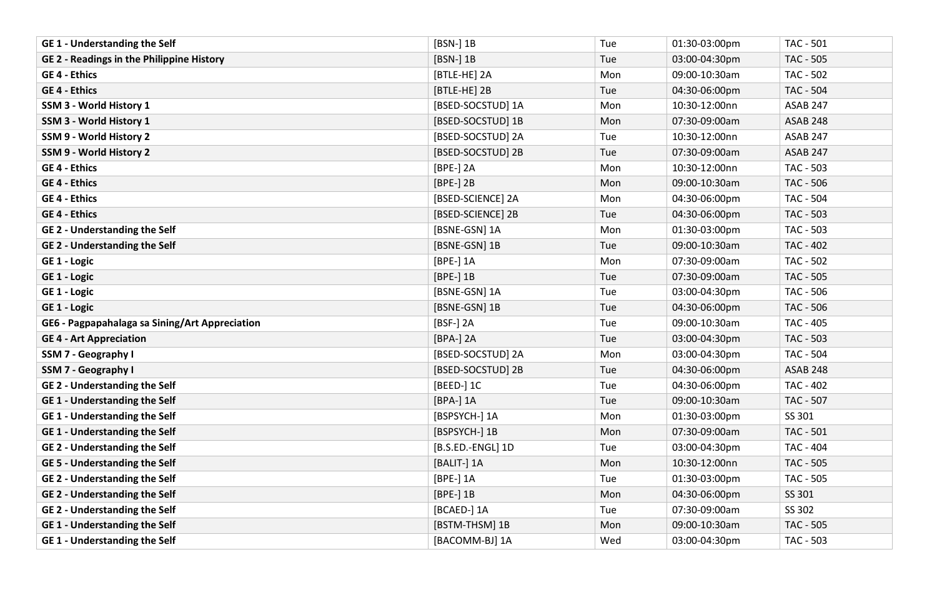| <b>GE1 - Understanding the Self</b>              | [BSN-] 1B         | Tue | 01:30-03:00pm | <b>TAC - 501</b> |
|--------------------------------------------------|-------------------|-----|---------------|------------------|
| <b>GE 2 - Readings in the Philippine History</b> | [BSN-] 1B         | Tue | 03:00-04:30pm | TAC - 505        |
| <b>GE 4 - Ethics</b>                             | [BTLE-HE] 2A      | Mon | 09:00-10:30am | <b>TAC - 502</b> |
| <b>GE 4 - Ethics</b>                             | [BTLE-HE] 2B      | Tue | 04:30-06:00pm | <b>TAC - 504</b> |
| SSM 3 - World History 1                          | [BSED-SOCSTUD] 1A | Mon | 10:30-12:00nn | <b>ASAB 247</b>  |
| SSM 3 - World History 1                          | [BSED-SOCSTUD] 1B | Mon | 07:30-09:00am | <b>ASAB 248</b>  |
| SSM 9 - World History 2                          | [BSED-SOCSTUD] 2A | Tue | 10:30-12:00nn | <b>ASAB 247</b>  |
| SSM 9 - World History 2                          | [BSED-SOCSTUD] 2B | Tue | 07:30-09:00am | <b>ASAB 247</b>  |
| <b>GE 4 - Ethics</b>                             | [BPE-] 2A         | Mon | 10:30-12:00nn | <b>TAC - 503</b> |
| <b>GE 4 - Ethics</b>                             | [BPE-] 2B         | Mon | 09:00-10:30am | <b>TAC - 506</b> |
| <b>GE 4 - Ethics</b>                             | [BSED-SCIENCE] 2A | Mon | 04:30-06:00pm | <b>TAC - 504</b> |
| <b>GE 4 - Ethics</b>                             | [BSED-SCIENCE] 2B | Tue | 04:30-06:00pm | <b>TAC - 503</b> |
| <b>GE 2 - Understanding the Self</b>             | [BSNE-GSN] 1A     | Mon | 01:30-03:00pm | TAC - 503        |
| <b>GE 2 - Understanding the Self</b>             | [BSNE-GSN] 1B     | Tue | 09:00-10:30am | <b>TAC - 402</b> |
| GE 1 - Logic                                     | [BPE-] 1A         | Mon | 07:30-09:00am | <b>TAC - 502</b> |
| GE 1 - Logic                                     | $[BPE-]$ 1B       | Tue | 07:30-09:00am | <b>TAC - 505</b> |
| GE 1 - Logic                                     | [BSNE-GSN] 1A     | Tue | 03:00-04:30pm | TAC - 506        |
| GE 1 - Logic                                     | [BSNE-GSN] 1B     | Tue | 04:30-06:00pm | <b>TAC - 506</b> |
| GE6 - Pagpapahalaga sa Sining/Art Appreciation   | [BSF-] 2A         | Tue | 09:00-10:30am | <b>TAC - 405</b> |
| <b>GE 4 - Art Appreciation</b>                   | [BPA-] 2A         | Tue | 03:00-04:30pm | <b>TAC - 503</b> |
| SSM 7 - Geography I                              | [BSED-SOCSTUD] 2A | Mon | 03:00-04:30pm | <b>TAC - 504</b> |
| SSM 7 - Geography I                              | [BSED-SOCSTUD] 2B | Tue | 04:30-06:00pm | <b>ASAB 248</b>  |
| <b>GE 2 - Understanding the Self</b>             | [BEED-] 1C        | Tue | 04:30-06:00pm | <b>TAC - 402</b> |
| <b>GE1 - Understanding the Self</b>              | [BPA-] 1A         | Tue | 09:00-10:30am | <b>TAC - 507</b> |
| <b>GE1 - Understanding the Self</b>              | [BSPSYCH-] 1A     | Mon | 01:30-03:00pm | SS 301           |
| <b>GE1 - Understanding the Self</b>              | [BSPSYCH-] 1B     | Mon | 07:30-09:00am | <b>TAC - 501</b> |
| <b>GE 2 - Understanding the Self</b>             | [B.S.ED.-ENGL] 1D | Tue | 03:00-04:30pm | TAC - 404        |
| <b>GE 5 - Understanding the Self</b>             | [BALIT-] 1A       | Mon | 10:30-12:00nn | TAC - 505        |
| <b>GE 2 - Understanding the Self</b>             | [BPE-] 1A         | Tue | 01:30-03:00pm | TAC - 505        |
| <b>GE 2 - Understanding the Self</b>             | $[BPE-]$ 1B       | Mon | 04:30-06:00pm | SS 301           |
| <b>GE 2 - Understanding the Self</b>             | [BCAED-] 1A       | Tue | 07:30-09:00am | SS 302           |
| <b>GE1 - Understanding the Self</b>              | [BSTM-THSM] 1B    | Mon | 09:00-10:30am | <b>TAC - 505</b> |
| <b>GE1 - Understanding the Self</b>              | [BACOMM-BJ] 1A    | Wed | 03:00-04:30pm | <b>TAC - 503</b> |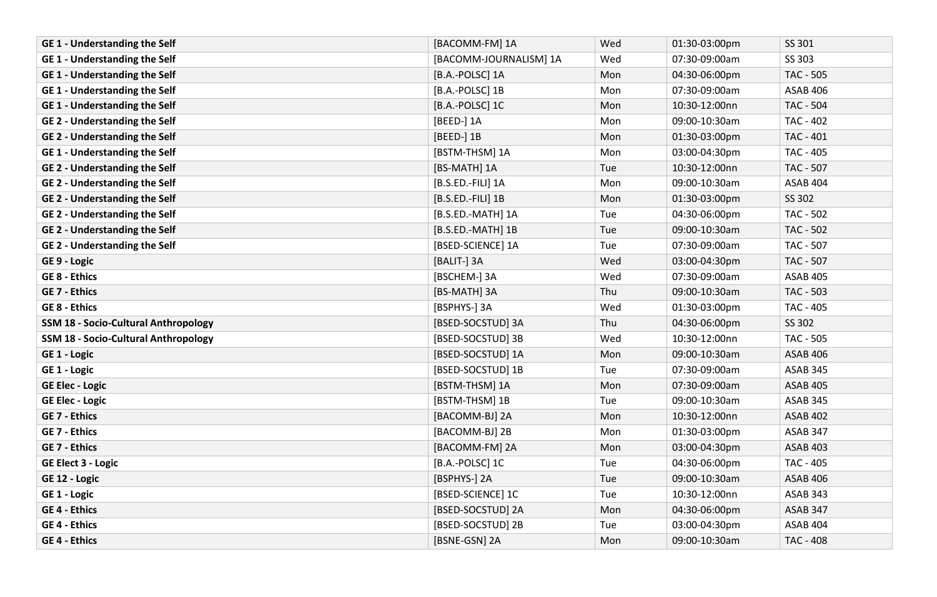| <b>GE1 - Understanding the Self</b>         | [BACOMM-FM] 1A         | Wed | 01:30-03:00pm | SS 301           |
|---------------------------------------------|------------------------|-----|---------------|------------------|
| <b>GE1 - Understanding the Self</b>         | [BACOMM-JOURNALISM] 1A | Wed | 07:30-09:00am | SS 303           |
| <b>GE1 - Understanding the Self</b>         | [B.A.-POLSC] 1A        | Mon | 04:30-06:00pm | <b>TAC - 505</b> |
| <b>GE1 - Understanding the Self</b>         | [B.A.-POLSC] 1B        | Mon | 07:30-09:00am | <b>ASAB 406</b>  |
| <b>GE1 - Understanding the Self</b>         | [B.A.-POLSC] 1C        | Mon | 10:30-12:00nn | <b>TAC - 504</b> |
| <b>GE 2 - Understanding the Self</b>        | [BEED-] 1A             | Mon | 09:00-10:30am | TAC - 402        |
| <b>GE 2 - Understanding the Self</b>        | [BEED-] 1B             | Mon | 01:30-03:00pm | TAC - 401        |
| <b>GE1 - Understanding the Self</b>         | [BSTM-THSM] 1A         | Mon | 03:00-04:30pm | TAC - 405        |
| <b>GE 2 - Understanding the Self</b>        | [BS-MATH] 1A           | Tue | 10:30-12:00nn | TAC - 507        |
| <b>GE 2 - Understanding the Self</b>        | [B.S.ED.-FILI] 1A      | Mon | 09:00-10:30am | ASAB 404         |
| <b>GE 2 - Understanding the Self</b>        | [B.S.ED.-FILI] 1B      | Mon | 01:30-03:00pm | SS 302           |
| <b>GE 2 - Understanding the Self</b>        | [B.S.ED.-MATH] 1A      | Tue | 04:30-06:00pm | <b>TAC - 502</b> |
| <b>GE 2 - Understanding the Self</b>        | [B.S.ED.-MATH] 1B      | Tue | 09:00-10:30am | <b>TAC - 502</b> |
| <b>GE 2 - Understanding the Self</b>        | [BSED-SCIENCE] 1A      | Tue | 07:30-09:00am | TAC - 507        |
| GE 9 - Logic                                | [BALIT-] 3A            | Wed | 03:00-04:30pm | TAC - 507        |
| <b>GE 8 - Ethics</b>                        | [BSCHEM-] 3A           | Wed | 07:30-09:00am | <b>ASAB 405</b>  |
| <b>GE 7 - Ethics</b>                        | [BS-MATH] 3A           | Thu | 09:00-10:30am | TAC - 503        |
| <b>GE 8 - Ethics</b>                        | [BSPHYS-] 3A           | Wed | 01:30-03:00pm | TAC - 405        |
| <b>SSM 18 - Socio-Cultural Anthropology</b> | [BSED-SOCSTUD] 3A      | Thu | 04:30-06:00pm | SS 302           |
| <b>SSM 18 - Socio-Cultural Anthropology</b> | [BSED-SOCSTUD] 3B      | Wed | 10:30-12:00nn | TAC - 505        |
| GE 1 - Logic                                | [BSED-SOCSTUD] 1A      | Mon | 09:00-10:30am | <b>ASAB 406</b>  |
| GE 1 - Logic                                | [BSED-SOCSTUD] 1B      | Tue | 07:30-09:00am | <b>ASAB 345</b>  |
| <b>GE Elec - Logic</b>                      | [BSTM-THSM] 1A         | Mon | 07:30-09:00am | <b>ASAB 405</b>  |
| <b>GE Elec - Logic</b>                      | [BSTM-THSM] 1B         | Tue | 09:00-10:30am | ASAB 345         |
| <b>GE 7 - Ethics</b>                        | [BACOMM-BJ] 2A         | Mon | 10:30-12:00nn | <b>ASAB 402</b>  |
| <b>GE 7 - Ethics</b>                        | [BACOMM-BJ] 2B         | Mon | 01:30-03:00pm | ASAB 347         |
| <b>GE 7 - Ethics</b>                        | [BACOMM-FM] 2A         | Mon | 03:00-04:30pm | <b>ASAB 403</b>  |
| <b>GE Elect 3 - Logic</b>                   | [B.A.-POLSC] 1C        | Tue | 04:30-06:00pm | TAC - 405        |
| GE 12 - Logic                               | [BSPHYS-] 2A           | Tue | 09:00-10:30am | <b>ASAB 406</b>  |
| GE 1 - Logic                                | [BSED-SCIENCE] 1C      | Tue | 10:30-12:00nn | <b>ASAB 343</b>  |
| <b>GE 4 - Ethics</b>                        | [BSED-SOCSTUD] 2A      | Mon | 04:30-06:00pm | ASAB 347         |
| <b>GE 4 - Ethics</b>                        | [BSED-SOCSTUD] 2B      | Tue | 03:00-04:30pm | ASAB 404         |
| <b>GE 4 - Ethics</b>                        | [BSNE-GSN] 2A          | Mon | 09:00-10:30am | <b>TAC - 408</b> |